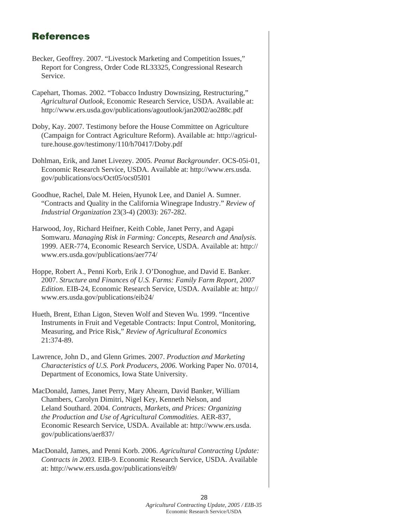## References

- Becker, Geoffrey. 2007. "Livestock Marketing and Competition Issues," Report for Congress, Order Code RL33325, Congressional Research Service.
- Capehart, Thomas. 2002. "Tobacco Industry Downsizing, Restructuring," *Agricultural Outlook*, Economic Research Service, USDA. Available at: http://www.ers.usda.gov/publications/agoutlook/jan2002/ao288c.pdf
- Doby, Kay. 2007. Testimony before the House Committee on Agriculture (Campaign for Contract Agriculture Reform). Available at: http://agriculture.house.gov/testimony/110/h70417/Doby.pdf
- Dohlman, Erik, and Janet Livezey. 2005. *Peanut Backgrounder*. OCS-05i-01, Economic Research Service, USDA. Available at: http://www.ers.usda. gov/publications/ocs/Oct05/ocs05I01
- Goodhue, Rachel, Dale M. Heien, Hyunok Lee, and Daniel A. Sumner. "Contracts and Quality in the California Winegrape Industry." *Review of Industrial Organization* 23(3-4) (2003): 267-282.
- Harwood, Joy, Richard Heifner, Keith Coble, Janet Perry, and Agapi Somwaru. *Managing Risk in Farming: Concepts, Research and Analysis.*  1999. AER-774, Economic Research Service, USDA. Available at: http:// www.ers.usda.gov/publications/aer774/
- Hoppe, Robert A., Penni Korb, Erik J. O'Donoghue, and David E. Banker. 2007. *Structure and Finances of U.S. Farms: Family Farm Report, 2007 Edition*. EIB-24, Economic Research Service, USDA. Available at: http:// www.ers.usda.gov/publications/eib24/
- Hueth, Brent, Ethan Ligon, Steven Wolf and Steven Wu. 1999. "Incentive Instruments in Fruit and Vegetable Contracts: Input Control, Monitoring, Measuring, and Price Risk," *Review of Agricultural Economics*  21:374-89.
- Lawrence, John D., and Glenn Grimes. 2007. *Production and Marketing Characteristics of U.S. Pork Producers, 2006*. Working Paper No. 07014, Department of Economics, Iowa State University.
- MacDonald, James, Janet Perry, Mary Ahearn, David Banker, William Chambers, Carolyn Dimitri, Nigel Key, Kenneth Nelson, and Leland Southard. 2004. *Contracts, Markets, and Prices: Organizing the Production and Use of Agricultural Commodities.* AER-837, Economic Research Service, USDA. Available at: http://www.ers.usda. gov/publications/aer837/
- MacDonald, James, and Penni Korb. 2006. *Agricultural Contracting Update: Contracts in 2003.* EIB-9. Economic Research Service, USDA. Available at: http://www.ers.usda.gov/publications/eib9/